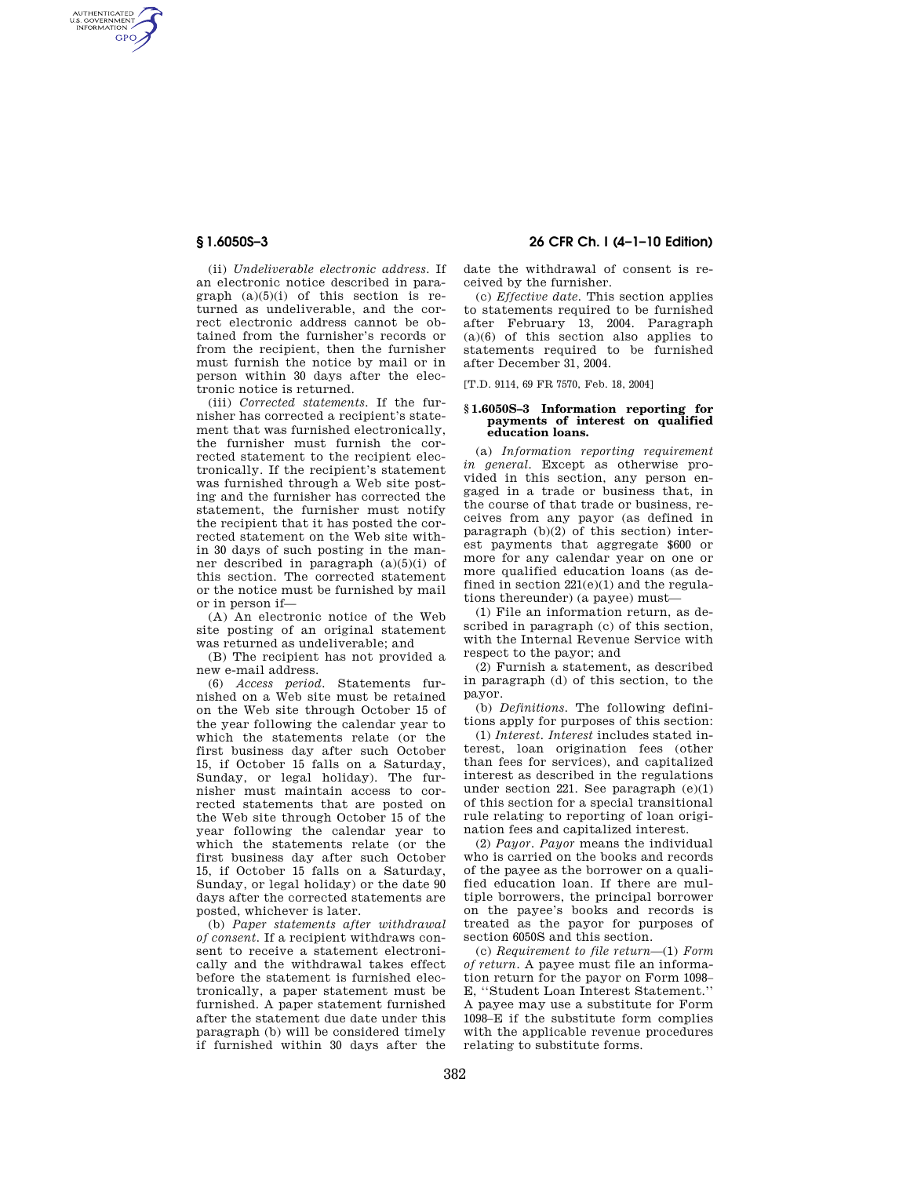AUTHENTICATED<br>U.S. GOVERNMENT<br>INFORMATION **GPO** 

> (ii) *Undeliverable electronic address.* If an electronic notice described in paragraph  $(a)(5)(i)$  of this section is returned as undeliverable, and the correct electronic address cannot be obtained from the furnisher's records or from the recipient, then the furnisher must furnish the notice by mail or in person within 30 days after the electronic notice is returned.

> (iii) *Corrected statements.* If the furnisher has corrected a recipient's statement that was furnished electronically, the furnisher must furnish the corrected statement to the recipient electronically. If the recipient's statement was furnished through a Web site posting and the furnisher has corrected the statement, the furnisher must notify the recipient that it has posted the corrected statement on the Web site within 30 days of such posting in the manner described in paragraph (a)(5)(i) of this section. The corrected statement or the notice must be furnished by mail or in person if—

> (A) An electronic notice of the Web site posting of an original statement was returned as undeliverable; and

> (B) The recipient has not provided a new e-mail address.

(6) *Access period.* Statements furnished on a Web site must be retained on the Web site through October 15 of the year following the calendar year to which the statements relate (or the first business day after such October 15, if October 15 falls on a Saturday, Sunday, or legal holiday). The furnisher must maintain access to corrected statements that are posted on the Web site through October 15 of the year following the calendar year to which the statements relate (or the first business day after such October 15, if October 15 falls on a Saturday, Sunday, or legal holiday) or the date 90 days after the corrected statements are posted, whichever is later.

(b) *Paper statements after withdrawal of consent.* If a recipient withdraws consent to receive a statement electronically and the withdrawal takes effect before the statement is furnished electronically, a paper statement must be furnished. A paper statement furnished after the statement due date under this paragraph (b) will be considered timely if furnished within 30 days after the

# **§ 1.6050S–3 26 CFR Ch. I (4–1–10 Edition)**

date the withdrawal of consent is received by the furnisher.

(c) *Effective date.* This section applies to statements required to be furnished after February 13, 2004. Paragraph  $(a)(6)$  of this section also applies to statements required to be furnished after December 31, 2004.

[T.D. 9114, 69 FR 7570, Feb. 18, 2004]

### **§ 1.6050S–3 Information reporting for payments of interest on qualified education loans.**

(a) *Information reporting requirement in general.* Except as otherwise provided in this section, any person engaged in a trade or business that, in the course of that trade or business, receives from any payor (as defined in paragraph (b)(2) of this section) interest payments that aggregate \$600 or more for any calendar year on one or more qualified education loans (as defined in section  $221(e)(1)$  and the regulations thereunder) (a payee) must—

(1) File an information return, as described in paragraph (c) of this section, with the Internal Revenue Service with respect to the payor; and

(2) Furnish a statement, as described in paragraph (d) of this section, to the payor.

(b) *Definitions.* The following definitions apply for purposes of this section:

(1) *Interest. Interest* includes stated interest, loan origination fees (other than fees for services), and capitalized interest as described in the regulations under section 221. See paragraph (e)(1) of this section for a special transitional rule relating to reporting of loan origination fees and capitalized interest.

(2) *Payor. Payor* means the individual who is carried on the books and records of the payee as the borrower on a qualified education loan. If there are multiple borrowers, the principal borrower on the payee's books and records is treated as the payor for purposes of section 6050S and this section.

(c) *Requirement to file return*—(1) *Form of return.* A payee must file an information return for the payor on Form 1098– E, ''Student Loan Interest Statement.'' A payee may use a substitute for Form 1098–E if the substitute form complies with the applicable revenue procedures relating to substitute forms.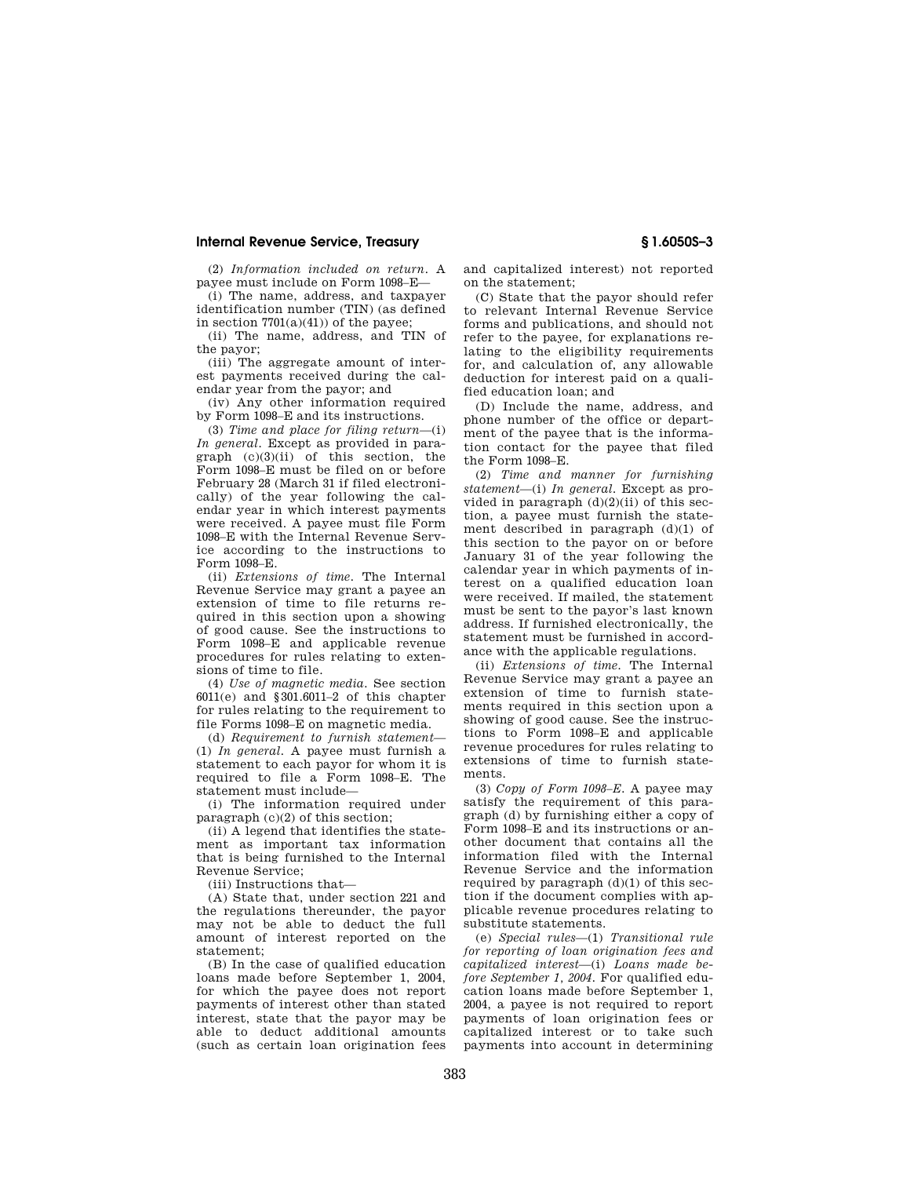## **Internal Revenue Service, Treasury § 1.6050S–3**

(2) *Information included on return.* A payee must include on Form 1098–E—

(i) The name, address, and taxpayer identification number (TIN) (as defined in section 7701(a)(41)) of the payee;

(ii) The name, address, and TIN of the payor;

(iii) The aggregate amount of interest payments received during the calendar year from the payor; and

(iv) Any other information required by Form 1098–E and its instructions.

(3) *Time and place for filing return*—(i) *In general.* Except as provided in paragraph  $(c)(3)(ii)$  of this section, the Form 1098–E must be filed on or before February 28 (March 31 if filed electronically) of the year following the calendar year in which interest payments were received. A payee must file Form 1098–E with the Internal Revenue Service according to the instructions to Form 1098–E.

(ii) *Extensions of time.* The Internal Revenue Service may grant a payee an extension of time to file returns required in this section upon a showing of good cause. See the instructions to Form 1098–E and applicable revenue procedures for rules relating to extensions of time to file.

(4) *Use of magnetic media.* See section 6011(e) and §301.6011–2 of this chapter for rules relating to the requirement to file Forms 1098–E on magnetic media.

(d) *Requirement to furnish statement*— (1) *In general.* A payee must furnish a statement to each payor for whom it is required to file a Form 1098–E. The statement must include—

(i) The information required under paragraph (c)(2) of this section;

(ii) A legend that identifies the statement as important tax information that is being furnished to the Internal Revenue Service;

(iii) Instructions that—

(A) State that, under section 221 and the regulations thereunder, the payor may not be able to deduct the full amount of interest reported on the statement;

(B) In the case of qualified education loans made before September 1, 2004, for which the payee does not report payments of interest other than stated interest, state that the payor may be able to deduct additional amounts (such as certain loan origination fees and capitalized interest) not reported on the statement;

(C) State that the payor should refer to relevant Internal Revenue Service forms and publications, and should not refer to the payee, for explanations relating to the eligibility requirements for, and calculation of, any allowable deduction for interest paid on a qualified education loan; and

(D) Include the name, address, and phone number of the office or department of the payee that is the information contact for the payee that filed the Form 1098–E.

(2) *Time and manner for furnishing statement*—(i) *In general.* Except as provided in paragraph  $(d)(2)(ii)$  of this section, a payee must furnish the statement described in paragraph (d)(1) of this section to the payor on or before January 31 of the year following the calendar year in which payments of interest on a qualified education loan were received. If mailed, the statement must be sent to the payor's last known address. If furnished electronically, the statement must be furnished in accordance with the applicable regulations.

(ii) *Extensions of time.* The Internal Revenue Service may grant a payee an extension of time to furnish statements required in this section upon a showing of good cause. See the instructions to Form 1098–E and applicable revenue procedures for rules relating to extensions of time to furnish statements.

(3) *Copy of Form 1098–E.* A payee may satisfy the requirement of this paragraph (d) by furnishing either a copy of Form 1098–E and its instructions or another document that contains all the information filed with the Internal Revenue Service and the information required by paragraph  $(d)(1)$  of this section if the document complies with applicable revenue procedures relating to substitute statements.

(e) *Special rules*—(1) *Transitional rule for reporting of loan origination fees and capitalized interest*—(i) *Loans made before September 1, 2004.* For qualified education loans made before September 1, 2004, a payee is not required to report payments of loan origination fees or capitalized interest or to take such payments into account in determining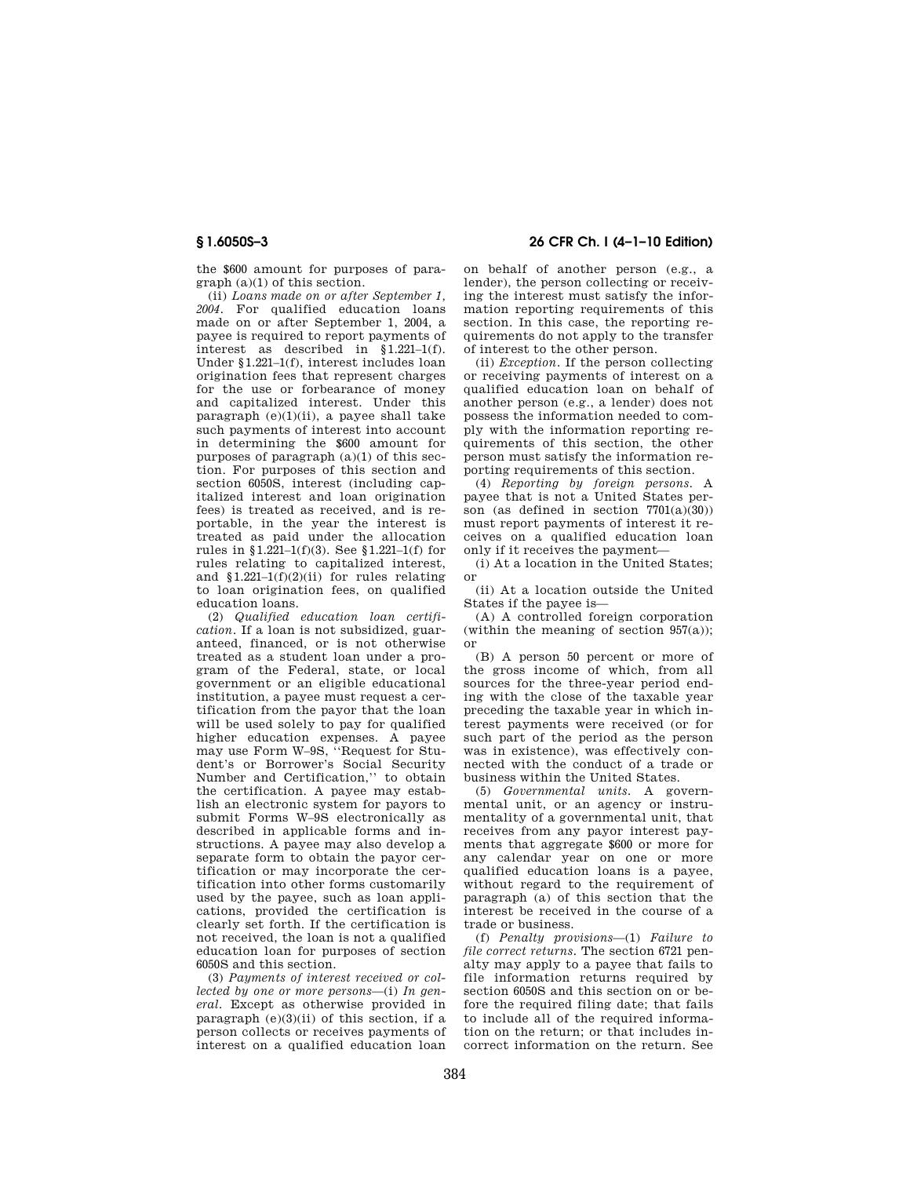the \$600 amount for purposes of paragraph (a)(1) of this section.

(ii) *Loans made on or after September 1, 2004.* For qualified education loans made on or after September 1, 2004, a payee is required to report payments of interest as described in §1.221–1(f). Under §1.221–1(f), interest includes loan origination fees that represent charges for the use or forbearance of money and capitalized interest. Under this paragraph  $(e)(1)(ii)$ , a payee shall take such payments of interest into account in determining the \$600 amount for purposes of paragraph (a)(1) of this section. For purposes of this section and section 6050S, interest (including capitalized interest and loan origination fees) is treated as received, and is reportable, in the year the interest is treated as paid under the allocation rules in §1.221–1(f)(3). See §1.221–1(f) for rules relating to capitalized interest, and  $$1.221-1(f)(2)(ii)$  for rules relating to loan origination fees, on qualified education loans.

(2) *Qualified education loan certification.* If a loan is not subsidized, guaranteed, financed, or is not otherwise treated as a student loan under a program of the Federal, state, or local government or an eligible educational institution, a payee must request a certification from the payor that the loan will be used solely to pay for qualified higher education expenses. A payee may use Form W–9S, ''Request for Student's or Borrower's Social Security Number and Certification,'' to obtain the certification. A payee may establish an electronic system for payors to submit Forms W–9S electronically as described in applicable forms and instructions. A payee may also develop a separate form to obtain the payor certification or may incorporate the certification into other forms customarily used by the payee, such as loan applications, provided the certification is clearly set forth. If the certification is not received, the loan is not a qualified education loan for purposes of section 6050S and this section.

(3) *Payments of interest received or collected by one or more persons*—(i) *In general.* Except as otherwise provided in paragraph  $(e)(3)(ii)$  of this section, if a person collects or receives payments of interest on a qualified education loan

**§ 1.6050S–3 26 CFR Ch. I (4–1–10 Edition)** 

on behalf of another person (e.g., a lender), the person collecting or receiving the interest must satisfy the information reporting requirements of this section. In this case, the reporting requirements do not apply to the transfer of interest to the other person.

(ii) *Exception.* If the person collecting or receiving payments of interest on a qualified education loan on behalf of another person (e.g., a lender) does not possess the information needed to comply with the information reporting requirements of this section, the other person must satisfy the information reporting requirements of this section.

(4) *Reporting by foreign persons.* A payee that is not a United States person (as defined in section  $7701(a)(30)$ ) must report payments of interest it receives on a qualified education loan only if it receives the payment—

(i) At a location in the United States; or

(ii) At a location outside the United States if the payee is—

(A) A controlled foreign corporation (within the meaning of section  $957(a)$ ); or

(B) A person 50 percent or more of the gross income of which, from all sources for the three-year period ending with the close of the taxable year preceding the taxable year in which interest payments were received (or for such part of the period as the person was in existence), was effectively connected with the conduct of a trade or business within the United States.

(5) *Governmental units.* A governmental unit, or an agency or instrumentality of a governmental unit, that receives from any payor interest payments that aggregate \$600 or more for any calendar year on one or more qualified education loans is a payee, without regard to the requirement of paragraph (a) of this section that the interest be received in the course of a trade or business.

(f) *Penalty provisions*—(1) *Failure to file correct returns.* The section 6721 penalty may apply to a payee that fails to file information returns required by section 6050S and this section on or before the required filing date; that fails to include all of the required information on the return; or that includes incorrect information on the return. See